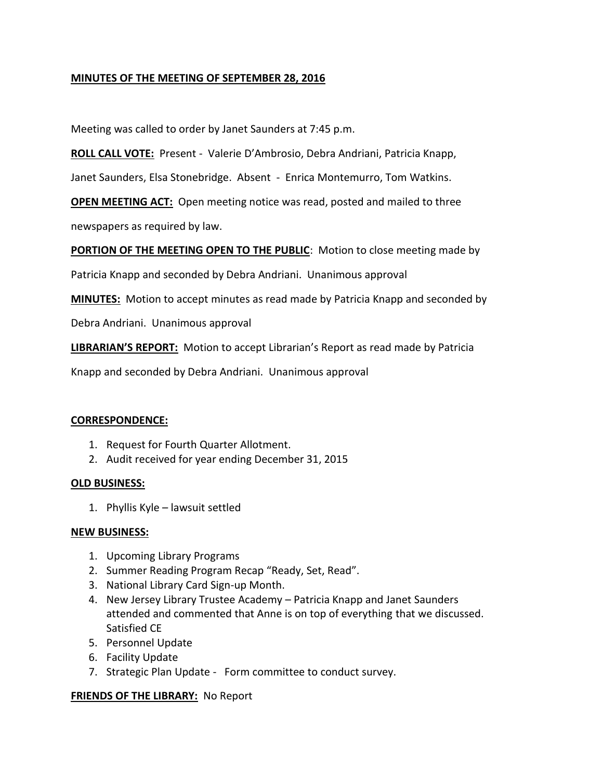# **MINUTES OF THE MEETING OF SEPTEMBER 28, 2016**

Meeting was called to order by Janet Saunders at 7:45 p.m.

**ROLL CALL VOTE:** Present - Valerie D'Ambrosio, Debra Andriani, Patricia Knapp,

Janet Saunders, Elsa Stonebridge. Absent - Enrica Montemurro, Tom Watkins.

**OPEN MEETING ACT:** Open meeting notice was read, posted and mailed to three

newspapers as required by law.

**PORTION OF THE MEETING OPEN TO THE PUBLIC**: Motion to close meeting made by

Patricia Knapp and seconded by Debra Andriani. Unanimous approval

**MINUTES:** Motion to accept minutes as read made by Patricia Knapp and seconded by

Debra Andriani. Unanimous approval

**LIBRARIAN'S REPORT:** Motion to accept Librarian's Report as read made by Patricia

Knapp and seconded by Debra Andriani. Unanimous approval

### **CORRESPONDENCE:**

- 1. Request for Fourth Quarter Allotment.
- 2. Audit received for year ending December 31, 2015

### **OLD BUSINESS:**

1. Phyllis Kyle – lawsuit settled

### **NEW BUSINESS:**

- 1. Upcoming Library Programs
- 2. Summer Reading Program Recap "Ready, Set, Read".
- 3. National Library Card Sign-up Month.
- 4. New Jersey Library Trustee Academy Patricia Knapp and Janet Saunders attended and commented that Anne is on top of everything that we discussed. Satisfied CE
- 5. Personnel Update
- 6. Facility Update
- 7. Strategic Plan Update Form committee to conduct survey.

### **FRIENDS OF THE LIBRARY:** No Report